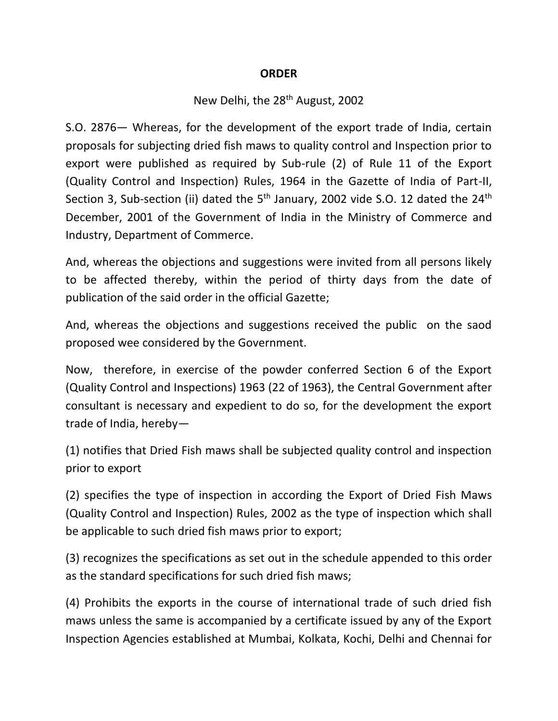#### **ORDER**

## New Delhi, the 28<sup>th</sup> August, 2002

S.O. 2876— Whereas, for the development of the export trade of India, certain proposals for subjecting dried fish maws to quality control and Inspection prior to export were published as required by Sub-rule (2) of Rule 11 of the Export (Quality Control and Inspection) Rules, 1964 in the Gazette of India of Part-II, Section 3, Sub-section (ii) dated the  $5<sup>th</sup>$  January, 2002 vide S.O. 12 dated the 24<sup>th</sup> December, 2001 of the Government of India in the Ministry of Commerce and Industry, Department of Commerce.

And, whereas the objections and suggestions were invited from all persons likely to be affected thereby, within the period of thirty days from the date of publication of the said order in the official Gazette;

And, whereas the objections and suggestions received the public on the saod proposed wee considered by the Government.

Now, therefore, in exercise of the powder conferred Section 6 of the Export (Quality Control and Inspections) 1963 (22 of 1963), the Central Government after consultant is necessary and expedient to do so, for the development the export trade of India, hereby—

(1) notifies that Dried Fish maws shall be subjected quality control and inspection prior to export

(2) specifies the type of inspection in according the Export of Dried Fish Maws (Quality Control and Inspection) Rules, 2002 as the type of inspection which shall be applicable to such dried fish maws prior to export;

(3) recognizes the specifications as set out in the schedule appended to this order as the standard specifications for such dried fish maws;

(4) Prohibits the exports in the course of international trade of such dried fish maws unless the same is accompanied by a certificate issued by any of the Export Inspection Agencies established at Mumbai, Kolkata, Kochi, Delhi and Chennai for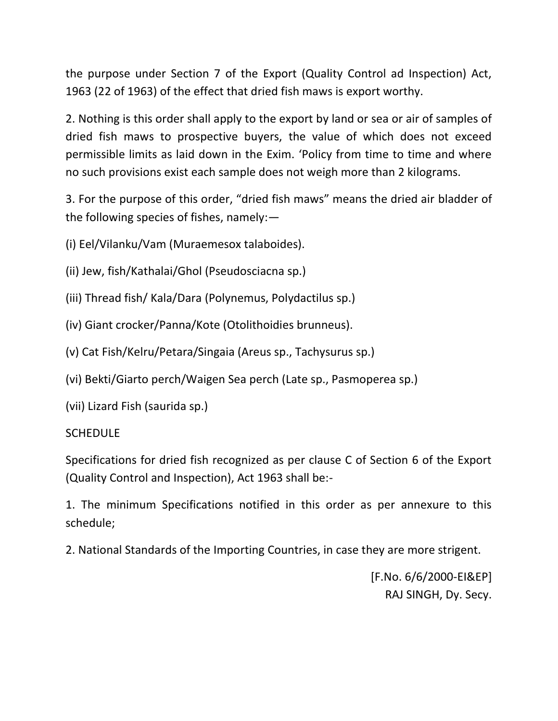the purpose under Section 7 of the Export (Quality Control ad Inspection) Act, 1963 (22 of 1963) of the effect that dried fish maws is export worthy.

2. Nothing is this order shall apply to the export by land or sea or air of samples of dried fish maws to prospective buyers, the value of which does not exceed permissible limits as laid down in the Exim. 'Policy from time to time and where no such provisions exist each sample does not weigh more than 2 kilograms.

3. For the purpose of this order, "dried fish maws" means the dried air bladder of the following species of fishes, namely:—

(i) Eel/Vilanku/Vam (Muraemesox talaboides).

(ii) Jew, fish/Kathalai/Ghol (Pseudosciacna sp.)

(iii) Thread fish/ Kala/Dara (Polynemus, Polydactilus sp.)

(iv) Giant crocker/Panna/Kote (Otolithoidies brunneus).

(v) Cat Fish/Kelru/Petara/Singaia (Areus sp., Tachysurus sp.)

(vi) Bekti/Giarto perch/Waigen Sea perch (Late sp., Pasmoperea sp.)

(vii) Lizard Fish (saurida sp.)

#### SCHEDULE

Specifications for dried fish recognized as per clause C of Section 6 of the Export (Quality Control and Inspection), Act 1963 shall be:-

1. The minimum Specifications notified in this order as per annexure to this schedule;

2. National Standards of the Importing Countries, in case they are more strigent.

[F.No. 6/6/2000-EI&EP] RAJ SINGH, Dy. Secy.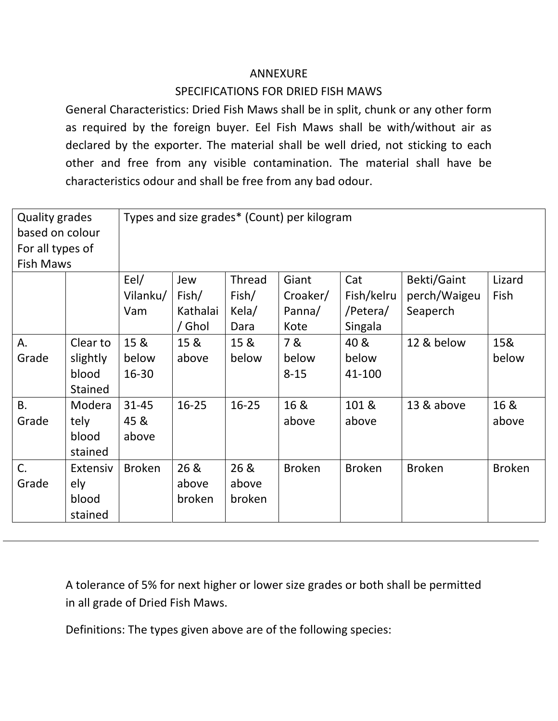### ANNEXURE

# SPECIFICATIONS FOR DRIED FISH MAWS

General Characteristics: Dried Fish Maws shall be in split, chunk or any other form as required by the foreign buyer. Eel Fish Maws shall be with/without air as declared by the exporter. The material shall be well dried, not sticking to each other and free from any visible contamination. The material shall have be characteristics odour and shall be free from any bad odour.

| <b>Quality grades</b><br>based on colour |                | Types and size grades* (Count) per kilogram |           |           |               |               |               |               |
|------------------------------------------|----------------|---------------------------------------------|-----------|-----------|---------------|---------------|---------------|---------------|
| For all types of                         |                |                                             |           |           |               |               |               |               |
| <b>Fish Maws</b>                         |                |                                             |           |           |               |               |               |               |
|                                          |                | Eel/                                        | Jew       | Thread    | Giant         | Cat           | Bekti/Gaint   | Lizard        |
|                                          |                | Vilanku/                                    | Fish/     | Fish/     | Croaker/      | Fish/kelru    | perch/Waigeu  | Fish          |
|                                          |                | Vam                                         | Kathalai  | Kela/     | Panna/        | /Petera/      | Seaperch      |               |
|                                          |                |                                             | / Ghol    | Dara      | Kote          | Singala       |               |               |
| Α.                                       | Clear to       | 15 &                                        | 15 &      | 15 &      | 7&            | 40 &          | 12 & below    | 15&           |
| Grade                                    | slightly       | below                                       | above     | below     | below         | below         |               | below         |
|                                          | blood          | $16 - 30$                                   |           |           | $8 - 15$      | 41-100        |               |               |
|                                          | <b>Stained</b> |                                             |           |           |               |               |               |               |
| <b>B.</b>                                | Modera         | $31 - 45$                                   | $16 - 25$ | $16 - 25$ | 16 &          | 101 &         | 13 & above    | 16 &          |
| Grade                                    | tely           | 45 &                                        |           |           | above         | above         |               | above         |
|                                          | blood          | above                                       |           |           |               |               |               |               |
|                                          | stained        |                                             |           |           |               |               |               |               |
| C.                                       | Extensiv       | <b>Broken</b>                               | 26 &      | 26 &      | <b>Broken</b> | <b>Broken</b> | <b>Broken</b> | <b>Broken</b> |
| Grade                                    | ely            |                                             | above     | above     |               |               |               |               |
|                                          | blood          |                                             | broken    | broken    |               |               |               |               |
|                                          | stained        |                                             |           |           |               |               |               |               |

A tolerance of 5% for next higher or lower size grades or both shall be permitted in all grade of Dried Fish Maws.

Definitions: The types given above are of the following species: